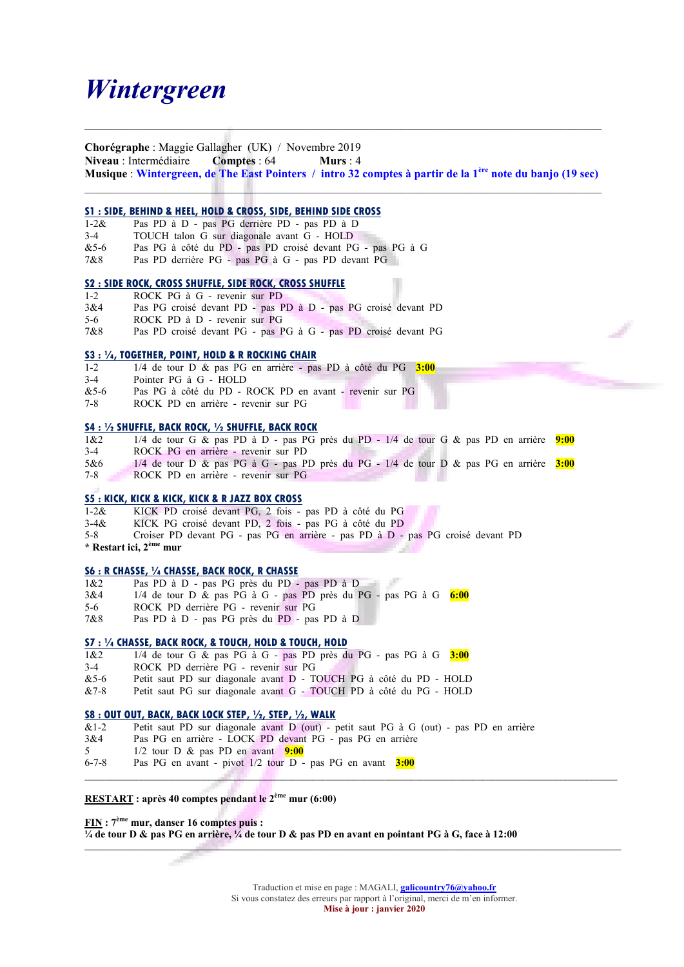# Wintergreen

Chorégraphe : Maggie Gallagher (UK) / Novembre 2019 Niveau : Intermédiaire Comptes : 64 Murs : 4 Musique : Wintergreen, de The East Pointers / intro 32 comptes à partir de la 1ère note du banjo (19 sec)

\_\_\_\_\_\_\_\_\_\_\_\_\_\_\_\_\_\_\_\_\_\_\_\_\_\_\_\_\_\_\_\_\_\_\_\_\_\_\_\_\_\_\_\_\_\_\_\_\_\_\_\_\_\_\_\_\_\_\_\_\_\_\_\_\_\_\_\_\_\_\_\_\_\_\_\_\_\_\_\_\_\_\_\_\_\_\_\_\_\_

 $\mathcal{L}_\mathcal{L} = \{ \mathcal{L}_\mathcal{L} = \{ \mathcal{L}_\mathcal{L} = \{ \mathcal{L}_\mathcal{L} = \{ \mathcal{L}_\mathcal{L} = \{ \mathcal{L}_\mathcal{L} = \{ \mathcal{L}_\mathcal{L} = \{ \mathcal{L}_\mathcal{L} = \{ \mathcal{L}_\mathcal{L} = \{ \mathcal{L}_\mathcal{L} = \{ \mathcal{L}_\mathcal{L} = \{ \mathcal{L}_\mathcal{L} = \{ \mathcal{L}_\mathcal{L} = \{ \mathcal{L}_\mathcal{L} = \{ \mathcal{L}_\mathcal{$ 

## S1 : SIDE, BEHIND & HEEL, HOLD & CROSS, SIDE, BEHIND SIDE CROSS

- 1-2& Pas PD à D pas PG derrière PD pas PD à D
- 3-4 TOUCH talon G sur diagonale avant G HOLD
- &5-6 Pas PG à côté du PD pas PD croisé devant PG pas PG à G
- 7&8 Pas PD derrière PG pas PG à G pas PD devant PG

#### S2 : SIDE ROCK, CROSS SHUFFLE, SIDE ROCK, CROSS SHUFFLE

- 1-2 ROCK PG à G revenir sur PD
- 3&4 Pas PG croisé devant PD pas PD à D pas PG croisé devant PD 5-6 ROCK PD à D - revenir sur PG
- 7&8 Pas PD croisé devant PG pas PG à G pas PD croisé devant PG

## S3 : ¼, TOGETHER, POINT, HOLD & R ROCKING CHAIR

- 1-2 1/4 de tour D & pas PG en arrière pas PD à côté du PG 3:00
- 3-4 Pointer PG à G HOLD
- &5-6 Pas PG à côté du PD ROCK PD en avant revenir sur PG
- 7-8 ROCK PD en arrière revenir sur PG

#### S4 : ½ SHUFFLE, BACK ROCK, ½ SHUFFLE, BACK ROCK

- 1&2 1/4 de tour G & pas PD à D pas PG près du PD 1/4 de tour G & pas PD en arrière  $9:00$ 3-4 ROCK PG en arrière - revenir sur PD 5&6 1/4 de tour D & pas PG à G - pas PD près du PG - 1/4 de tour D & pas PG en arrière  $3:00$
- 7-8 ROCK PD en arrière revenir sur PG

## S5 : KICK, KICK & KICK, KICK & R JAZZ BOX CROSS

- 1-2& KICK PD croisé devant PG, 2 fois pas PD à côté du PG
- 3-4& KICK PG croisé devant PD, 2 fois pas PG à côté du PD
- 5-8 Croiser PD devant PG pas PG en arrière pas PD à D pas PG croisé devant PD
- \* Restart ici, 2ème mur

## S6 : R CHASSE, ¼ CHASSE, BACK ROCK, R CHASSE

- 1&2 Pas PD à D pas PG près du PD pas PD à D
- $3&4$  1/4 de tour D & pas PG à G pas PD près du PG pas PG à G  $6:00$
- 5-6 ROCK PD derrière PG revenir sur PG
- 7&8 Pas PD à D pas PG près du PD pas PD à D

### S7 : ¼ CHASSE, BACK ROCK, & TOUCH, HOLD & TOUCH, HOLD

- 1&2 1/4 de tour G & pas PG à G pas PD près du PG pas PG à G 3:00 3-4 ROCK PD derrière PG - revenir sur PG &5-6 Petit saut PD sur diagonale avant D - TOUCH PG à côté du PD - HOLD
- &7-8 Petit saut PG sur diagonale avant G TOUCH PD à côté du PG HOLD

#### S8 : OUT OUT, BACK, BACK LOCK STEP, ½, STEP, ½, WALK

| $&1-2$      | Petit saut PD sur diagonale avant D (out) - petit saut PG à G (out) - pas PD en arrière |
|-------------|-----------------------------------------------------------------------------------------|
| 3&4         | Pas PG en arrière - LOCK PD devant PG - pas PG en arrière                               |
| $5^{\circ}$ | 1/2 tour D & pas PD en avant $9:00$                                                     |
| $6 - 7 - 8$ | Pas PG en avant - pivot $1/2$ tour D - pas PG en avant $3:00$                           |
|             |                                                                                         |

RESTART : après 40 comptes pendant le 2ème mur (6:00)

FIN : 7ème mur, danser 16 comptes puis :  $\frac{1}{4}$  de tour D & pas PG en arrière,  $\frac{1}{4}$  de tour D & pas PD en avant en pointant PG à G, face à 12:00

> Traduction et mise en page : MAGALI, **galicountry76@yahoo.fr** Si vous constatez des erreurs par rapport à l'original, merci de m'en informer. Mise à jour : janvier 2020

\_\_\_\_\_\_\_\_\_\_\_\_\_\_\_\_\_\_\_\_\_\_\_\_\_\_\_\_\_\_\_\_\_\_\_\_\_\_\_\_\_\_\_\_\_\_\_\_\_\_\_\_\_\_\_\_\_\_\_\_\_\_\_\_\_\_\_\_\_\_\_\_\_\_\_\_\_\_\_\_\_\_\_\_\_\_\_\_\_\_\_\_\_\_\_\_\_\_\_\_\_\_\_\_\_